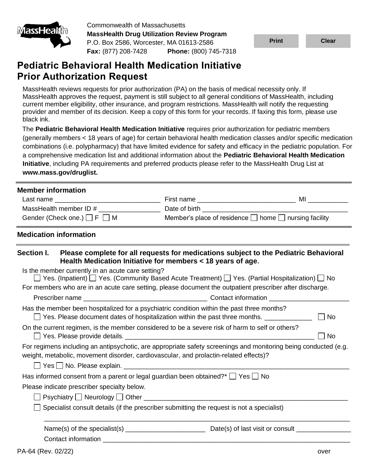

Commonwealth of Massachusetts **MassHealth Drug Utilization Review Program** P.O. Box 2586, Worcester, MA 01613-2586 **Fax:** (877) 208-7428 **Phone:** (800) 745-7318

**Print Clear**

# **Pediatric Behavioral Health Medication Initiative Prior Authorization Request**

MassHealth reviews requests for prior authorization (PA) on the basis of medical necessity only. If MassHealth approves the request, payment is still subject to all general conditions of MassHealth, including current member eligibility, other insurance, and program restrictions. MassHealth will notify the requesting provider and member of its decision. Keep a copy of this form for your records. If faxing this form, please use black ink.

The **[Pediatric Behavioral Health Medication Initiative](https://mhdl.pharmacy.services.conduent.com/MHDL/pubcatpage.do?category=MassHealth+Pharmacy+Initiatives+and+Clinical+Information)** requires prior authorization for pediatric members (generally members < 18 years of age) for certain behavioral health medication classes and/or specific medication combinations (i.e. polypharmacy) that have limited evidence for safety and efficacy in the pediatric population. For a comprehensive medication list and additional information about the **[Pediatric Behavioral Health Medication](https://mhdl.pharmacy.services.conduent.com/MHDL/pubcatpage.do?category=MassHealth+Pharmacy+Initiatives+and+Clinical+Information)  [Initiative](https://mhdl.pharmacy.services.conduent.com/MHDL/pubcatpage.do?category=MassHealth+Pharmacy+Initiatives+and+Clinical+Information)**, including PA requirements and preferred products please refer to the MassHealth Drug List at **www.mass.gov/druglist.**

# **Member information**

| Last name                             | First name                                                      | мі |
|---------------------------------------|-----------------------------------------------------------------|----|
| MassHealth member ID #                | Date of birth                                                   |    |
| Gender (Check one.) $\Box$ F $\Box$ M | Member's place of residence $\Box$ home $\Box$ nursing facility |    |

# **Medication information**

| <b>Section I.</b> | Please complete for all requests for medications subject to the Pediatric Behavioral<br>Health Medication Initiative for members < 18 years of age.                                                      |                      |
|-------------------|----------------------------------------------------------------------------------------------------------------------------------------------------------------------------------------------------------|----------------------|
|                   | Is the member currently in an acute care setting?<br>$\Box$ Yes. (Inpatient) $\Box$ Yes. (Community Based Acute Treatment) $\Box$ Yes. (Partial Hospitalization) $\Box$ No                               |                      |
|                   | For members who are in an acute care setting, please document the outpatient prescriber after discharge.                                                                                                 |                      |
|                   |                                                                                                                                                                                                          |                      |
|                   | Has the member been hospitalized for a psychiatric condition within the past three months?<br>$\Box$ Yes. Please document dates of hospitalization within the past three months. $\Box$                  | No<br>$\blacksquare$ |
|                   | On the current regimen, is the member considered to be a severe risk of harm to self or others?                                                                                                          | $\Box$ No            |
|                   | For regimens including an antipsychotic, are appropriate safety screenings and monitoring being conducted (e.g.<br>weight, metabolic, movement disorder, cardiovascular, and prolactin-related effects)? |                      |
|                   |                                                                                                                                                                                                          |                      |
|                   | Has informed consent from a parent or legal guardian been obtained?* $\Box$ Yes $\Box$ No                                                                                                                |                      |
|                   | Please indicate prescriber specialty below.                                                                                                                                                              |                      |
|                   |                                                                                                                                                                                                          |                      |
|                   | Specialist consult details (if the prescriber submitting the request is not a specialist)                                                                                                                |                      |
|                   |                                                                                                                                                                                                          |                      |
|                   | Contact information                                                                                                                                                                                      |                      |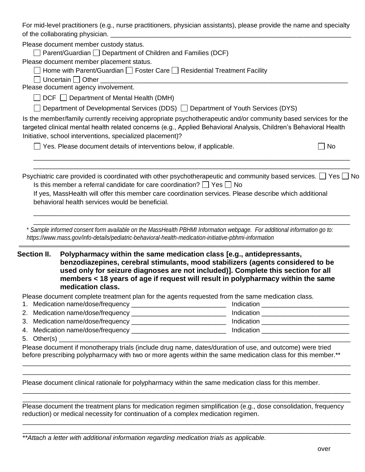For mid-level practitioners (e.g., nurse practitioners, physician assistants), please provide the name and specialty of the collaborating physician.

Please document member custody status.

 $\Box$  Parent/Guardian  $\Box$  Department of Children and Families (DCF)

Please document member placement status.

| $\Box$ Home with Parent/Guardian $\Box$ Foster Care $\Box$ Residential Treatment Facility |  |  |
|-------------------------------------------------------------------------------------------|--|--|
|-------------------------------------------------------------------------------------------|--|--|

 $\Box$  Uncertain  $\Box$  Other

Please document agency involvement.

 $\Box$  DCF  $\Box$  Department of Mental Health (DMH)

 $\Box$  Department of Developmental Services (DDS)  $\Box$  Department of Youth Services (DYS)

Is the member/family currently receiving appropriate psychotherapeutic and/or community based services for the targeted clinical mental health related concerns (e.g., Applied Behavioral Analysis, Children's Behavioral Health Initiative, school interventions, specialized placement)?

 $\Box$  Yes. Please document details of interventions below, if applicable.  $\Box$  No

Psychiatric care provided is coordinated with other psychotherapeutic and community based services.  $\Box$  Yes  $\Box$  No Is this member a referral candidate for care coordination?  $\Box$  Yes  $\Box$  No

\_\_\_\_\_\_\_\_\_\_\_\_\_\_\_\_\_\_\_\_\_\_\_\_\_\_\_\_\_\_\_\_\_\_\_\_\_\_\_\_\_\_\_\_\_\_\_\_\_\_\_\_\_\_\_\_\_\_\_\_\_\_\_\_\_\_\_\_\_\_\_\_\_\_\_\_\_\_\_\_\_\_\_\_\_\_\_ \_\_\_\_\_\_\_\_\_\_\_\_\_\_\_\_\_\_\_\_\_\_\_\_\_\_\_\_\_\_\_\_\_\_\_\_\_\_\_\_\_\_\_\_\_\_\_\_\_\_\_\_\_\_\_\_\_\_\_\_\_\_\_\_\_\_\_\_\_\_\_\_\_\_\_\_\_\_\_\_\_\_\_\_\_\_\_

\_\_\_\_\_\_\_\_\_\_\_\_\_\_\_\_\_\_\_\_\_\_\_\_\_\_\_\_\_\_\_\_\_\_\_\_\_\_\_\_\_\_\_\_\_\_\_\_\_\_\_\_\_\_\_\_\_\_\_\_\_\_\_\_\_\_\_\_\_\_\_\_\_\_\_\_\_\_\_\_\_\_\_\_\_\_\_ \_\_\_\_\_\_\_\_\_\_\_\_\_\_\_\_\_\_\_\_\_\_\_\_\_\_\_\_\_\_\_\_\_\_\_\_\_\_\_\_\_\_\_\_\_\_\_\_\_\_\_\_\_\_\_\_\_\_\_\_\_\_\_\_\_\_\_\_\_\_\_\_\_\_\_\_\_\_\_\_\_\_\_\_\_\_\_

If yes, MassHealth will offer this member care coordination services. Please describe which additional behavioral health services would be beneficial.

\* *Sample informed consent form available on the MassHealth PBHMI Information webpage. For additional information go to: https://www.mass.gov/info-details/pediatric-behavioral-health-medication-initiative-pbhmi-information*

**Section II. Polypharmacy within the same medication class [e.g., antidepressants, benzodiazepines, cerebral stimulants, mood stabilizers (agents considered to be used only for seizure diagnoses are not included)]. Complete this section for all members < 18 years of age if request will result in polypharmacy within the same medication class.**

Please document complete treatment plan for the agents requested from the same medication class.

| Medication name/dose/frequency    | Indication |  |
|-----------------------------------|------------|--|
| 2. Medication name/dose/frequency | Indication |  |
| 3. Medication name/dose/frequency | Indication |  |
| 4. Medication name/dose/frequency | Indication |  |

5. Other(s)

Please document if monotherapy trials (include drug name, dates/duration of use, and outcome) were tried before prescribing polypharmacy with two or more agents within the same medication class for this member.\*\*

\_\_\_\_\_\_\_\_\_\_\_\_\_\_\_\_\_\_\_\_\_\_\_\_\_\_\_\_\_\_\_\_\_\_\_\_\_\_\_\_\_\_\_\_\_\_\_\_\_\_\_\_\_\_\_\_\_\_\_\_\_\_\_\_\_\_\_\_\_\_\_\_\_\_\_\_\_\_\_\_\_\_\_\_\_\_\_\_\_\_ \_\_\_\_\_\_\_\_\_\_\_\_\_\_\_\_\_\_\_\_\_\_\_\_\_\_\_\_\_\_\_\_\_\_\_\_\_\_\_\_\_\_\_\_\_\_\_\_\_\_\_\_\_\_\_\_\_\_\_\_\_\_\_\_\_\_\_\_\_\_\_\_\_\_\_\_\_\_\_\_\_\_\_\_\_\_\_\_\_\_

\_\_\_\_\_\_\_\_\_\_\_\_\_\_\_\_\_\_\_\_\_\_\_\_\_\_\_\_\_\_\_\_\_\_\_\_\_\_\_\_\_\_\_\_\_\_\_\_\_\_\_\_\_\_\_\_\_\_\_\_\_\_\_\_\_\_\_\_\_\_\_\_\_\_\_\_\_\_\_\_\_\_\_\_\_\_\_\_\_\_ \_\_\_\_\_\_\_\_\_\_\_\_\_\_\_\_\_\_\_\_\_\_\_\_\_\_\_\_\_\_\_\_\_\_\_\_\_\_\_\_\_\_\_\_\_\_\_\_\_\_\_\_\_\_\_\_\_\_\_\_\_\_\_\_\_\_\_\_\_\_\_\_\_\_\_\_\_\_\_\_\_\_\_\_\_\_\_\_\_\_

Please document clinical rationale for polypharmacy within the same medication class for this member.

Please document the treatment plans for medication regimen simplification (e.g., dose consolidation, frequency reduction) or medical necessity for continuation of a complex medication regimen.

\_\_\_\_\_\_\_\_\_\_\_\_\_\_\_\_\_\_\_\_\_\_\_\_\_\_\_\_\_\_\_\_\_\_\_\_\_\_\_\_\_\_\_\_\_\_\_\_\_\_\_\_\_\_\_\_\_\_\_\_\_\_\_\_\_\_\_\_\_\_\_\_\_\_\_\_\_\_\_\_\_\_\_\_\_\_\_\_\_\_ \_\_\_\_\_\_\_\_\_\_\_\_\_\_\_\_\_\_\_\_\_\_\_\_\_\_\_\_\_\_\_\_\_\_\_\_\_\_\_\_\_\_\_\_\_\_\_\_\_\_\_\_\_\_\_\_\_\_\_\_\_\_\_\_\_\_\_\_\_\_\_\_\_\_\_\_\_\_\_\_\_\_\_\_\_\_\_\_\_\_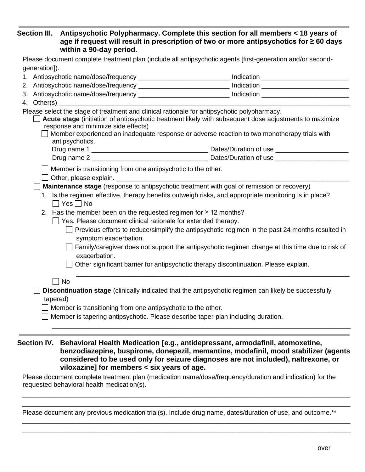# **Section III. Antipsychotic Polypharmacy. Complete this section for all members < 18 years of age if request will result in prescription of two or more antipsychotics for ≥ 60 days within a 90-day period.**

| generation]).<br>1. Antipsychotic name/dose/frequency _________________________________ Indication ________________________<br>2. Antipsychotic name/dose/frequency ________________________________ Indication _________________________<br>4. Other(s) $\_\_$<br>Please select the stage of treatment and clinical rationale for antipsychotic polypharmacy.<br>Acute stage (initiation of antipsychotic treatment likely with subsequent dose adjustments to maximize |  |  |  |  |
|--------------------------------------------------------------------------------------------------------------------------------------------------------------------------------------------------------------------------------------------------------------------------------------------------------------------------------------------------------------------------------------------------------------------------------------------------------------------------|--|--|--|--|
|                                                                                                                                                                                                                                                                                                                                                                                                                                                                          |  |  |  |  |
|                                                                                                                                                                                                                                                                                                                                                                                                                                                                          |  |  |  |  |
|                                                                                                                                                                                                                                                                                                                                                                                                                                                                          |  |  |  |  |
|                                                                                                                                                                                                                                                                                                                                                                                                                                                                          |  |  |  |  |
|                                                                                                                                                                                                                                                                                                                                                                                                                                                                          |  |  |  |  |
|                                                                                                                                                                                                                                                                                                                                                                                                                                                                          |  |  |  |  |
|                                                                                                                                                                                                                                                                                                                                                                                                                                                                          |  |  |  |  |
| response and minimize side effects)                                                                                                                                                                                                                                                                                                                                                                                                                                      |  |  |  |  |
| Member experienced an inadequate response or adverse reaction to two monotherapy trials with                                                                                                                                                                                                                                                                                                                                                                             |  |  |  |  |
| antipsychotics.                                                                                                                                                                                                                                                                                                                                                                                                                                                          |  |  |  |  |
|                                                                                                                                                                                                                                                                                                                                                                                                                                                                          |  |  |  |  |
|                                                                                                                                                                                                                                                                                                                                                                                                                                                                          |  |  |  |  |
| Member is transitioning from one antipsychotic to the other.                                                                                                                                                                                                                                                                                                                                                                                                             |  |  |  |  |
| Other, please explain.                                                                                                                                                                                                                                                                                                                                                                                                                                                   |  |  |  |  |
| Maintenance stage (response to antipsychotic treatment with goal of remission or recovery)                                                                                                                                                                                                                                                                                                                                                                               |  |  |  |  |
| 1. Is the regimen effective, therapy benefits outweigh risks, and appropriate monitoring is in place?<br>$\Box$ Yes $\Box$ No                                                                                                                                                                                                                                                                                                                                            |  |  |  |  |
| 2. Has the member been on the requested regimen for $\geq 12$ months?                                                                                                                                                                                                                                                                                                                                                                                                    |  |  |  |  |
| $\Box$ Yes. Please document clinical rationale for extended therapy.                                                                                                                                                                                                                                                                                                                                                                                                     |  |  |  |  |
| $\Box$ Previous efforts to reduce/simplify the antipsychotic regimen in the past 24 months resulted in                                                                                                                                                                                                                                                                                                                                                                   |  |  |  |  |
| symptom exacerbation.                                                                                                                                                                                                                                                                                                                                                                                                                                                    |  |  |  |  |
| Family/caregiver does not support the antipsychotic regimen change at this time due to risk of                                                                                                                                                                                                                                                                                                                                                                           |  |  |  |  |
| exacerbation.                                                                                                                                                                                                                                                                                                                                                                                                                                                            |  |  |  |  |
| Other significant barrier for antipsychotic therapy discontinuation. Please explain.                                                                                                                                                                                                                                                                                                                                                                                     |  |  |  |  |
|                                                                                                                                                                                                                                                                                                                                                                                                                                                                          |  |  |  |  |
| $\Box$ No                                                                                                                                                                                                                                                                                                                                                                                                                                                                |  |  |  |  |
| Discontinuation stage (clinically indicated that the antipsychotic regimen can likely be successfully                                                                                                                                                                                                                                                                                                                                                                    |  |  |  |  |
| tapered)                                                                                                                                                                                                                                                                                                                                                                                                                                                                 |  |  |  |  |
| Member is transitioning from one antipsychotic to the other.                                                                                                                                                                                                                                                                                                                                                                                                             |  |  |  |  |
| Member is tapering antipsychotic. Please describe taper plan including duration.                                                                                                                                                                                                                                                                                                                                                                                         |  |  |  |  |
|                                                                                                                                                                                                                                                                                                                                                                                                                                                                          |  |  |  |  |

**Section IV. Behavioral Health Medication [e.g., antidepressant, armodafinil, atomoxetine, benzodiazepine, buspirone, donepezil, memantine, modafinil, mood stabilizer (agents considered to be used only for seizure diagnoses are not included), naltrexone, or viloxazine] for members < six years of age.**

Please document complete treatment plan (medication name/dose/frequency/duration and indication) for the requested behavioral health medication(s).

\_\_\_\_\_\_\_\_\_\_\_\_\_\_\_\_\_\_\_\_\_\_\_\_\_\_\_\_\_\_\_\_\_\_\_\_\_\_\_\_\_\_\_\_\_\_\_\_\_\_\_\_\_\_\_\_\_\_\_\_\_\_\_\_\_\_\_\_\_\_\_\_\_\_\_\_\_\_\_\_\_\_\_\_\_\_\_\_\_\_ \_\_\_\_\_\_\_\_\_\_\_\_\_\_\_\_\_\_\_\_\_\_\_\_\_\_\_\_\_\_\_\_\_\_\_\_\_\_\_\_\_\_\_\_\_\_\_\_\_\_\_\_\_\_\_\_\_\_\_\_\_\_\_\_\_\_\_\_\_\_\_\_\_\_\_\_\_\_\_\_\_\_\_\_\_\_\_\_\_\_

\_\_\_\_\_\_\_\_\_\_\_\_\_\_\_\_\_\_\_\_\_\_\_\_\_\_\_\_\_\_\_\_\_\_\_\_\_\_\_\_\_\_\_\_\_\_\_\_\_\_\_\_\_\_\_\_\_\_\_\_\_\_\_\_\_\_\_\_\_\_\_\_\_\_\_\_\_\_\_\_\_\_\_\_\_\_\_\_\_\_ \_\_\_\_\_\_\_\_\_\_\_\_\_\_\_\_\_\_\_\_\_\_\_\_\_\_\_\_\_\_\_\_\_\_\_\_\_\_\_\_\_\_\_\_\_\_\_\_\_\_\_\_\_\_\_\_\_\_\_\_\_\_\_\_\_\_\_\_\_\_\_\_\_\_\_\_\_\_\_\_\_\_\_\_\_\_\_\_\_\_

Please document any previous medication trial(s). Include drug name, dates/duration of use, and outcome.\*\*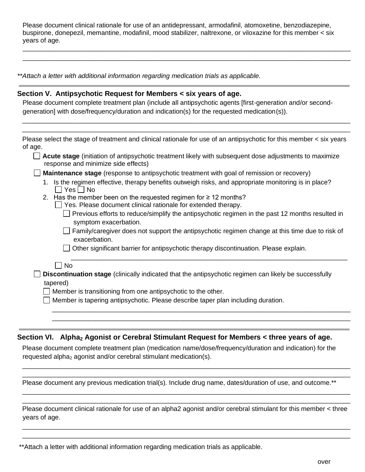Please document clinical rationale for use of an antidepressant, armodafinil, atomoxetine, benzodiazepine, buspirone, donepezil, memantine, modafinil, mood stabilizer, naltrexone, or viloxazine for this member < six years of age.

\_\_\_\_\_\_\_\_\_\_\_\_\_\_\_\_\_\_\_\_\_\_\_\_\_\_\_\_\_\_\_\_\_\_\_\_\_\_\_\_\_\_\_\_\_\_\_\_\_\_\_\_\_\_\_\_\_\_\_\_\_\_\_\_\_\_\_\_\_\_\_\_\_\_\_\_\_\_\_\_\_\_\_\_\_\_\_\_\_\_ \_\_\_\_\_\_\_\_\_\_\_\_\_\_\_\_\_\_\_\_\_\_\_\_\_\_\_\_\_\_\_\_\_\_\_\_\_\_\_\_\_\_\_\_\_\_\_\_\_\_\_\_\_\_\_\_\_\_\_\_\_\_\_\_\_\_\_\_\_\_\_\_\_\_\_\_\_\_\_\_\_\_\_\_\_\_\_\_\_\_

*\*\*Attach a letter with additional information regarding medication trials as applicable.*

#### **Section V. Antipsychotic Request for Members < six years of age.**

Please document complete treatment plan (include all antipsychotic agents [first-generation and/or secondgeneration] with dose/frequency/duration and indication(s) for the requested medication(s)).

\_\_\_\_\_\_\_\_\_\_\_\_\_\_\_\_\_\_\_\_\_\_\_\_\_\_\_\_\_\_\_\_\_\_\_\_\_\_\_\_\_\_\_\_\_\_\_\_\_\_\_\_\_\_\_\_\_\_\_\_\_\_\_\_\_\_\_\_\_\_\_\_\_\_\_\_\_\_\_\_\_\_\_\_\_\_\_\_\_\_ \_\_\_\_\_\_\_\_\_\_\_\_\_\_\_\_\_\_\_\_\_\_\_\_\_\_\_\_\_\_\_\_\_\_\_\_\_\_\_\_\_\_\_\_\_\_\_\_\_\_\_\_\_\_\_\_\_\_\_\_\_\_\_\_\_\_\_\_\_\_\_\_\_\_\_\_\_\_\_\_\_\_\_\_\_\_\_\_\_\_

| Please select the stage of treatment and clinical rationale for use of an antipsychotic for this member < six years<br>of age.                |
|-----------------------------------------------------------------------------------------------------------------------------------------------|
| Acute stage (initiation of antipsychotic treatment likely with subsequent dose adjustments to maximize<br>response and minimize side effects) |
| <b>Maintenance stage</b> (response to antipsychotic treatment with goal of remission or recovery)                                             |
| 1. Is the regimen effective, therapy benefits outweigh risks, and appropriate monitoring is in place?<br>$\Box$ Yes $\Box$ No                 |
| 2. Has the member been on the requested regimen for $\geq 12$ months?<br>$\Box$ Yes. Please document clinical rationale for extended therapy. |

- $\Box$  Previous efforts to reduce/simplify the antipsychotic regimen in the past 12 months resulted in symptom exacerbation.
- $\Box$  Family/caregiver does not support the antipsychotic regimen change at this time due to risk of exacerbation.

\_\_\_\_\_\_\_\_\_\_\_\_\_\_\_\_\_\_\_\_\_\_\_\_\_\_\_\_\_\_\_\_\_\_\_\_\_\_\_\_\_\_\_\_\_\_\_\_\_\_\_\_\_\_\_\_\_\_\_\_\_\_\_\_\_\_\_\_\_\_\_\_\_\_\_\_\_\_\_\_\_\_ \_\_\_\_\_\_\_\_\_\_\_\_\_\_\_\_\_\_\_\_\_\_\_\_\_\_\_\_\_\_\_\_\_\_\_\_\_\_\_\_\_\_\_\_\_\_\_\_\_\_\_\_\_\_\_\_\_\_\_\_\_\_\_\_\_\_\_\_\_\_\_\_\_\_\_\_\_\_\_\_\_\_

\_\_\_\_\_\_\_\_\_\_\_\_\_\_\_\_\_\_\_\_\_\_\_\_\_\_\_\_\_\_\_\_\_\_\_\_\_\_\_\_\_\_\_\_\_\_\_\_\_\_\_\_\_\_\_\_\_\_\_\_\_\_\_\_\_\_\_\_\_\_\_\_\_\_\_\_

 $\Box$  Other significant barrier for antipsychotic therapy discontinuation. Please explain.

#### $\Box$  No

|          | <b>Discontinuation stage</b> (clinically indicated that the antipsychotic regimen can likely be successfully |  |
|----------|--------------------------------------------------------------------------------------------------------------|--|
| tapered) |                                                                                                              |  |

 $\Box$  Member is transitioning from one antipsychotic to the other.

 $\Box$  Member is tapering antipsychotic. Please describe taper plan including duration.

#### **Section VI. Alpha<sub>2</sub> Agonist or Cerebral Stimulant Request for Members < three years of age.**

Please document complete treatment plan (medication name/dose/frequency/duration and indication) for the requested alpha<sub>2</sub> agonist and/or cerebral stimulant medication(s).

\_\_\_\_\_\_\_\_\_\_\_\_\_\_\_\_\_\_\_\_\_\_\_\_\_\_\_\_\_\_\_\_\_\_\_\_\_\_\_\_\_\_\_\_\_\_\_\_\_\_\_\_\_\_\_\_\_\_\_\_\_\_\_\_\_\_\_\_\_\_\_\_\_\_\_\_\_\_\_\_\_\_\_\_\_\_\_\_\_\_ \_\_\_\_\_\_\_\_\_\_\_\_\_\_\_\_\_\_\_\_\_\_\_\_\_\_\_\_\_\_\_\_\_\_\_\_\_\_\_\_\_\_\_\_\_\_\_\_\_\_\_\_\_\_\_\_\_\_\_\_\_\_\_\_\_\_\_\_\_\_\_\_\_\_\_\_\_\_\_\_\_\_\_\_\_\_\_\_\_\_

\_\_\_\_\_\_\_\_\_\_\_\_\_\_\_\_\_\_\_\_\_\_\_\_\_\_\_\_\_\_\_\_\_\_\_\_\_\_\_\_\_\_\_\_\_\_\_\_\_\_\_\_\_\_\_\_\_\_\_\_\_\_\_\_\_\_\_\_\_\_\_\_\_\_\_\_\_\_\_\_\_\_\_\_\_\_\_\_\_\_ \_\_\_\_\_\_\_\_\_\_\_\_\_\_\_\_\_\_\_\_\_\_\_\_\_\_\_\_\_\_\_\_\_\_\_\_\_\_\_\_\_\_\_\_\_\_\_\_\_\_\_\_\_\_\_\_\_\_\_\_\_\_\_\_\_\_\_\_\_\_\_\_\_\_\_\_\_\_\_\_\_\_\_\_\_\_\_\_\_\_

Please document any previous medication trial(s). Include drug name, dates/duration of use, and outcome.\*\*

Please document clinical rationale for use of an alpha2 agonist and/or cerebral stimulant for this member < three years of age.

\_\_\_\_\_\_\_\_\_\_\_\_\_\_\_\_\_\_\_\_\_\_\_\_\_\_\_\_\_\_\_\_\_\_\_\_\_\_\_\_\_\_\_\_\_\_\_\_\_\_\_\_\_\_\_\_\_\_\_\_\_\_\_\_\_\_\_\_\_\_\_\_\_\_\_\_\_\_\_\_\_\_\_\_\_\_\_\_\_\_ \_\_\_\_\_\_\_\_\_\_\_\_\_\_\_\_\_\_\_\_\_\_\_\_\_\_\_\_\_\_\_\_\_\_\_\_\_\_\_\_\_\_\_\_\_\_\_\_\_\_\_\_\_\_\_\_\_\_\_\_\_\_\_\_\_\_\_\_\_\_\_\_\_\_\_\_\_\_\_\_\_\_\_\_\_\_\_\_\_\_

<sup>\*\*</sup>Attach a letter with additional information regarding medication trials as applicable.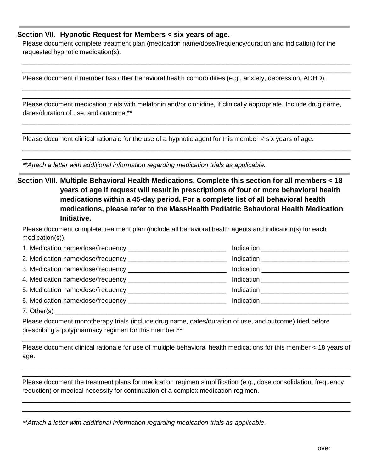# **Section VII. Hypnotic Request for Members < six years of age.**

Please document complete treatment plan (medication name/dose/frequency/duration and indication) for the requested hypnotic medication(s).

\_\_\_\_\_\_\_\_\_\_\_\_\_\_\_\_\_\_\_\_\_\_\_\_\_\_\_\_\_\_\_\_\_\_\_\_\_\_\_\_\_\_\_\_\_\_\_\_\_\_\_\_\_\_\_\_\_\_\_\_\_\_\_\_\_\_\_\_\_\_\_\_\_\_\_\_\_\_\_\_\_\_\_\_\_\_\_\_\_\_ \_\_\_\_\_\_\_\_\_\_\_\_\_\_\_\_\_\_\_\_\_\_\_\_\_\_\_\_\_\_\_\_\_\_\_\_\_\_\_\_\_\_\_\_\_\_\_\_\_\_\_\_\_\_\_\_\_\_\_\_\_\_\_\_\_\_\_\_\_\_\_\_\_\_\_\_\_\_\_\_\_\_\_\_\_\_\_\_\_\_

\_\_\_\_\_\_\_\_\_\_\_\_\_\_\_\_\_\_\_\_\_\_\_\_\_\_\_\_\_\_\_\_\_\_\_\_\_\_\_\_\_\_\_\_\_\_\_\_\_\_\_\_\_\_\_\_\_\_\_\_\_\_\_\_\_\_\_\_\_\_\_\_\_\_\_\_\_\_\_\_\_\_\_\_\_\_\_\_\_\_ \_\_\_\_\_\_\_\_\_\_\_\_\_\_\_\_\_\_\_\_\_\_\_\_\_\_\_\_\_\_\_\_\_\_\_\_\_\_\_\_\_\_\_\_\_\_\_\_\_\_\_\_\_\_\_\_\_\_\_\_\_\_\_\_\_\_\_\_\_\_\_\_\_\_\_\_\_\_\_\_\_\_\_\_\_\_\_\_\_\_

Please document if member has other behavioral health comorbidities (e.g., anxiety, depression, ADHD).

Please document medication trials with melatonin and/or clonidine, if clinically appropriate. Include drug name, dates/duration of use, and outcome.\*\*

\_\_\_\_\_\_\_\_\_\_\_\_\_\_\_\_\_\_\_\_\_\_\_\_\_\_\_\_\_\_\_\_\_\_\_\_\_\_\_\_\_\_\_\_\_\_\_\_\_\_\_\_\_\_\_\_\_\_\_\_\_\_\_\_\_\_\_\_\_\_\_\_\_\_\_\_\_\_\_\_\_\_\_\_\_\_\_\_\_\_ \_\_\_\_\_\_\_\_\_\_\_\_\_\_\_\_\_\_\_\_\_\_\_\_\_\_\_\_\_\_\_\_\_\_\_\_\_\_\_\_\_\_\_\_\_\_\_\_\_\_\_\_\_\_\_\_\_\_\_\_\_\_\_\_\_\_\_\_\_\_\_\_\_\_\_\_\_\_\_\_\_\_\_\_\_\_\_\_\_\_

\_\_\_\_\_\_\_\_\_\_\_\_\_\_\_\_\_\_\_\_\_\_\_\_\_\_\_\_\_\_\_\_\_\_\_\_\_\_\_\_\_\_\_\_\_\_\_\_\_\_\_\_\_\_\_\_\_\_\_\_\_\_\_\_\_\_\_\_\_\_\_\_\_\_\_\_\_\_\_\_\_\_\_\_\_\_\_\_\_\_ \_\_\_\_\_\_\_\_\_\_\_\_\_\_\_\_\_\_\_\_\_\_\_\_\_\_\_\_\_\_\_\_\_\_\_\_\_\_\_\_\_\_\_\_\_\_\_\_\_\_\_\_\_\_\_\_\_\_\_\_\_\_\_\_\_\_\_\_\_\_\_\_\_\_\_\_\_\_\_\_\_\_\_\_\_\_\_\_\_\_

Please document clinical rationale for the use of a hypnotic agent for this member < six years of age.

*\*\*Attach a letter with additional information regarding medication trials as applicable.*

**Section VIII. Multiple Behavioral Health Medications. Complete this section for all members < 18 years of age if request will result in prescriptions of four or more behavioral health medications within a 45-day period. For a complete list of all behavioral health medications, please refer to the [MassHealth Pediatric Behavioral Health Medication](https://mhdl.pharmacy.services.conduent.com/MHDL/pubcatpage.do?category=MassHealth+Pharmacy+Initiatives+and+Clinical+Information)  [Initiative.](https://mhdl.pharmacy.services.conduent.com/MHDL/pubcatpage.do?category=MassHealth+Pharmacy+Initiatives+and+Clinical+Information)**

Please document complete treatment plan (include all behavioral health agents and indication(s) for each medication(s)).

|                      | Indication ___________________________  |
|----------------------|-----------------------------------------|
|                      | Indication _________________________    |
|                      |                                         |
|                      | Indication ____________________________ |
|                      | Indication _______________________      |
| $7 \Delta$ thers (e) |                                         |

7. Other(s) \_\_\_\_\_\_\_\_\_\_\_\_\_\_\_\_\_\_\_\_\_\_\_\_\_\_\_\_\_\_\_\_\_\_\_\_\_\_\_\_\_\_\_\_\_\_\_\_\_\_\_\_\_\_\_\_\_\_\_\_\_\_\_\_\_\_\_\_\_\_\_\_\_\_\_\_\_\_\_\_\_

Please document monotherapy trials (include drug name, dates/duration of use, and outcome) tried before prescribing a polypharmacy regimen for this member.\*\*

Please document clinical rationale for use of multiple behavioral health medications for this member < 18 years of age.

\_\_\_\_\_\_\_\_\_\_\_\_\_\_\_\_\_\_\_\_\_\_\_\_\_\_\_\_\_\_\_\_\_\_\_\_\_\_\_\_\_\_\_\_\_\_\_\_\_\_\_\_\_\_\_\_\_\_\_\_\_\_\_\_\_\_\_\_\_\_\_\_\_\_\_\_\_\_\_\_\_\_\_\_\_\_\_\_\_\_ \_\_\_\_\_\_\_\_\_\_\_\_\_\_\_\_\_\_\_\_\_\_\_\_\_\_\_\_\_\_\_\_\_\_\_\_\_\_\_\_\_\_\_\_\_\_\_\_\_\_\_\_\_\_\_\_\_\_\_\_\_\_\_\_\_\_\_\_\_\_\_\_\_\_\_\_\_\_\_\_\_\_\_\_\_\_\_\_\_\_

\_\_\_\_\_\_\_\_\_\_\_\_\_\_\_\_\_\_\_\_\_\_\_\_\_\_\_\_\_\_\_\_\_\_\_\_\_\_\_\_\_\_\_\_\_\_\_\_\_\_\_\_\_\_\_\_\_\_\_\_\_\_\_\_\_\_\_\_\_\_\_\_\_\_\_\_\_\_\_\_\_\_\_\_\_\_\_\_\_\_

Please document the treatment plans for medication regimen simplification (e.g., dose consolidation, frequency reduction) or medical necessity for continuation of a complex medication regimen.

\_\_\_\_\_\_\_\_\_\_\_\_\_\_\_\_\_\_\_\_\_\_\_\_\_\_\_\_\_\_\_\_\_\_\_\_\_\_\_\_\_\_\_\_\_\_\_\_\_\_\_\_\_\_\_\_\_\_\_\_\_\_\_\_\_\_\_\_\_\_\_\_\_\_\_\_\_\_\_\_\_\_\_\_\_\_\_\_\_\_ \_\_\_\_\_\_\_\_\_\_\_\_\_\_\_\_\_\_\_\_\_\_\_\_\_\_\_\_\_\_\_\_\_\_\_\_\_\_\_\_\_\_\_\_\_\_\_\_\_\_\_\_\_\_\_\_\_\_\_\_\_\_\_\_\_\_\_\_\_\_\_\_\_\_\_\_\_\_\_\_\_\_\_\_\_\_\_\_\_\_

*\*\*Attach a letter with additional information regarding medication trials as applicable.*